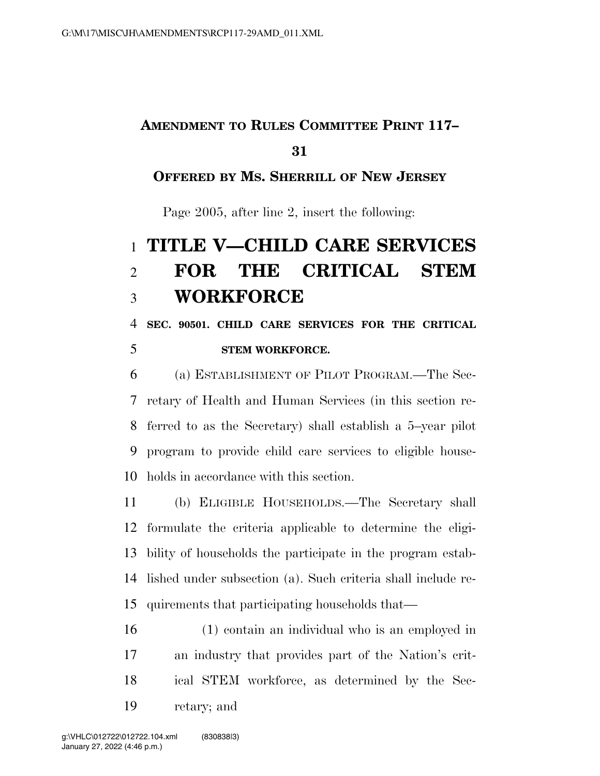# **AMENDMENT TO RULES COMMITTEE PRINT 117–**

#### 

### **OFFERED BY MS. SHERRILL OF NEW JERSEY**

Page 2005, after line 2, insert the following:

## **TITLE V—CHILD CARE SERVICES FOR THE CRITICAL STEM WORKFORCE**

### **SEC. 90501. CHILD CARE SERVICES FOR THE CRITICAL STEM WORKFORCE.**

 (a) ESTABLISHMENT OF PILOT PROGRAM.—The Sec- retary of Health and Human Services (in this section re- ferred to as the Secretary) shall establish a 5–year pilot program to provide child care services to eligible house-holds in accordance with this section.

 (b) ELIGIBLE HOUSEHOLDS.—The Secretary shall formulate the criteria applicable to determine the eligi- bility of households the participate in the program estab- lished under subsection (a). Such criteria shall include re-quirements that participating households that—

 (1) contain an individual who is an employed in an industry that provides part of the Nation's crit- ical STEM workforce, as determined by the Sec-retary; and